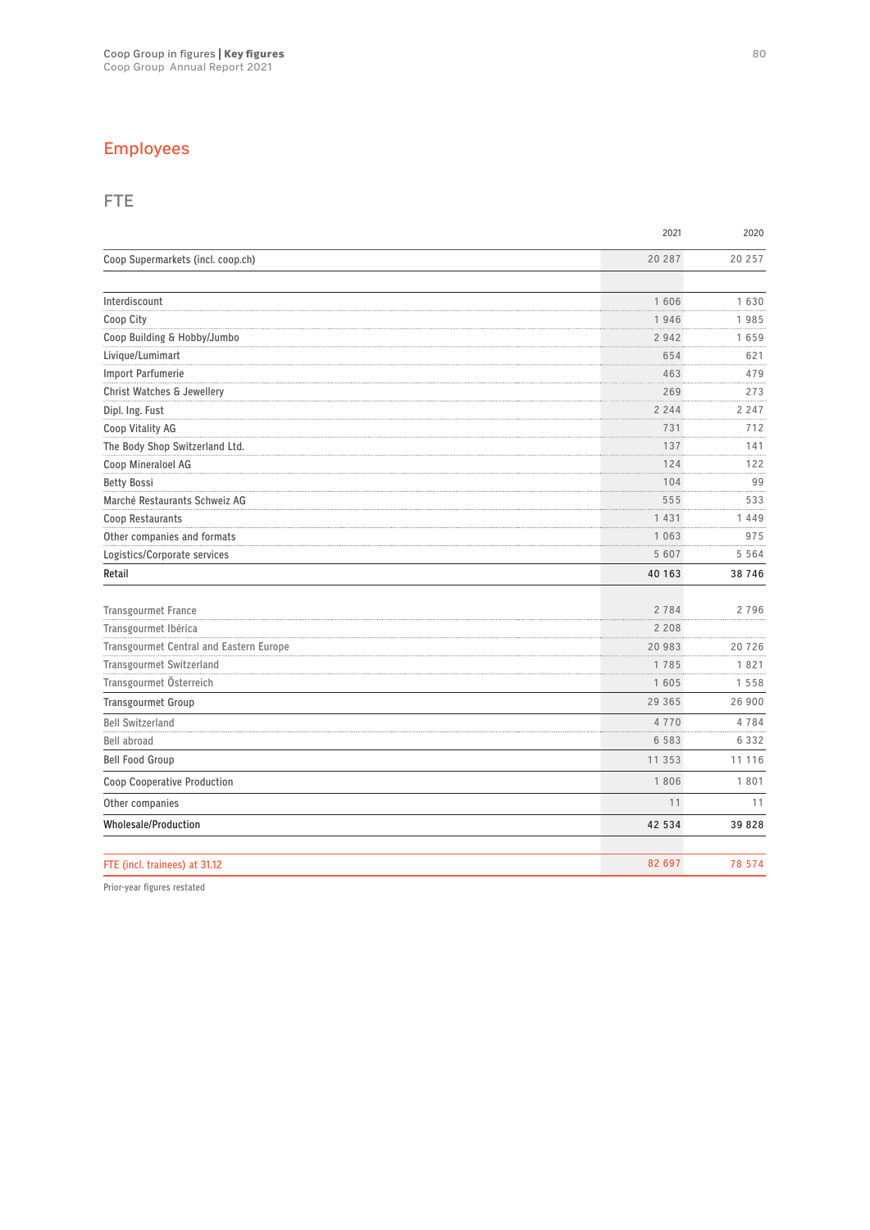### Employees

#### FTE

|                                         | 2021    | 2020    |
|-----------------------------------------|---------|---------|
| Coop Supermarkets (incl. coop.ch)       | 20 287  | 20 257  |
| Interdiscount                           | 1 606   | 1 6 3 0 |
| Coop City                               | 1946    | 1985    |
| Coop Building & Hobby/Jumbo             | 2942    | 1659    |
| Livique/Lumimart                        | 654     | 621     |
| <b>Import Parfumerie</b>                | 463     | 479     |
| Christ Watches & Jewellery              | 269     | 273     |
| Dipl. Ing. Fust                         | 2 2 4 4 | 2 2 4 7 |
| Coop Vitality AG                        | 731     | 712     |
| The Body Shop Switzerland Ltd.          | 137     | 141     |
| Coop Mineraloel AG                      | 124     | 122     |
| <b>Betty Bossi</b>                      | 104     | 99      |
| Marché Restaurants Schweiz AG           | 555     | 533     |
| Coop Restaurants                        | 1431    | 1449    |
| Other companies and formats             | 1 0 6 3 | 975     |
| Logistics/Corporate services            | 5 607   | 5 5 6 4 |
| Retail                                  | 40 163  | 38746   |
| <b>Transgourmet France</b>              | 2784    | 2796    |
| Transgourmet Ibérica                    | 2 2 0 8 |         |
| Transgourmet Central and Eastern Europe | 20983   | 20726   |
| Transgourmet Switzerland                | 1785    | 1821    |
| Transgourmet Österreich                 | 1 605   | 1558    |
| <b>Transgourmet Group</b>               | 29 365  | 26 900  |
| <b>Bell Switzerland</b>                 | 4770    | 4784    |
| Bell abroad                             | 6 5 8 3 | 6 3 3 2 |
| <b>Bell Food Group</b>                  | 11 353  | 11 116  |
| Coop Cooperative Production             | 1806    | 1801    |
| Other companies                         | 11      | 11      |
| <b>Wholesale/Production</b>             | 42 534  | 39828   |
| FTE (incl. trainees) at 31.12           | 82 697  | 78 574  |

Prior-year figures restated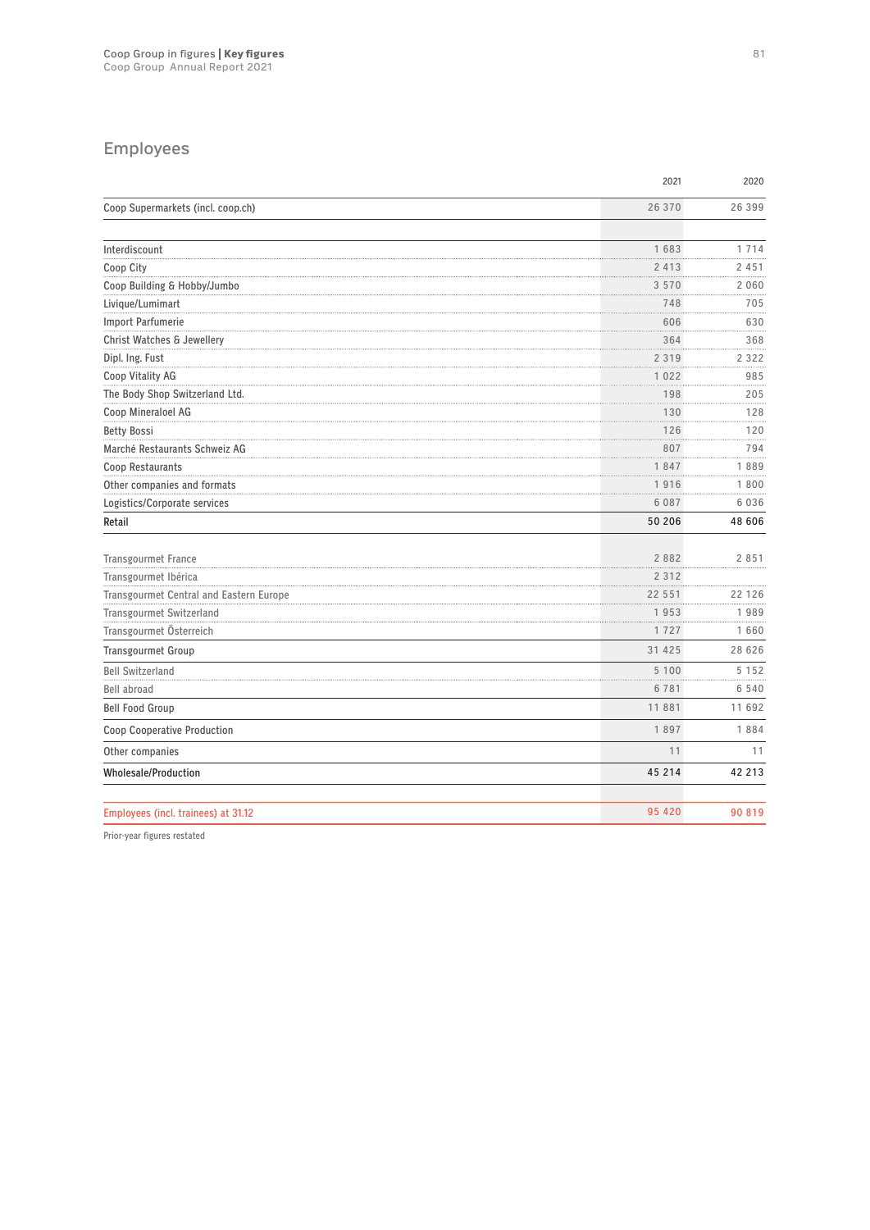## Employees

|                                         | 2021     | 2020    |
|-----------------------------------------|----------|---------|
| Coop Supermarkets (incl. coop.ch)       | 26 370   | 26 399  |
| Interdiscount                           | 1683     | 1 7 1 4 |
| Coop City                               | 2 4 1 3  | 2 4 5 1 |
| Coop Building & Hobby/Jumbo             | 3 5 7 0  | 2 0 6 0 |
| Livique/Lumimart                        | 748      | 705     |
| <b>Import Parfumerie</b>                | 606      | 630     |
| Christ Watches & Jewellery              | 364      | 368     |
| Dipl. Ing. Fust                         | 2 3 1 9  | 2 3 2 2 |
| Coop Vitality AG                        | 1022     | 985     |
| The Body Shop Switzerland Ltd.          | 198      | 205     |
| Coop Mineraloel AG                      | 130      | 128     |
| <b>Betty Bossi</b>                      | 126      | 120     |
| Marché Restaurants Schweiz AG           | 807      | 794     |
| Coop Restaurants                        | 1847     | 1889    |
| Other companies and formats             | 1916     | 1800    |
| Logistics/Corporate services            | 6 0 8 7  | 6036    |
| Retail                                  | 50 206   | 48 606  |
| <b>Transgourmet France</b>              | 2882     | 2 8 5 1 |
| Transgourmet Ibérica                    | 2 3 1 2  |         |
| Transgourmet Central and Eastern Europe | 22 5 5 1 | 22 126  |
| Transgourmet Switzerland                | 1953     | 1989    |
| Transgourmet Österreich                 | 1 7 2 7  | 1660    |
| <b>Transgourmet Group</b>               | 31 425   | 28 6 26 |
| <b>Bell Switzerland</b>                 | 5 1 0 0  | 5 1 5 2 |
| Bell abroad                             | 6781     | 6 5 4 0 |
| <b>Bell Food Group</b>                  | 11881    | 11 692  |
| Coop Cooperative Production             | 1897     | 1884    |
| Other companies                         | 11       | 11      |
| <b>Wholesale/Production</b>             | 45 214   | 42 213  |
| Employees (incl. trainees) at 31.12     | 95 420   | 90 819  |
|                                         |          |         |

Prior-year figures restated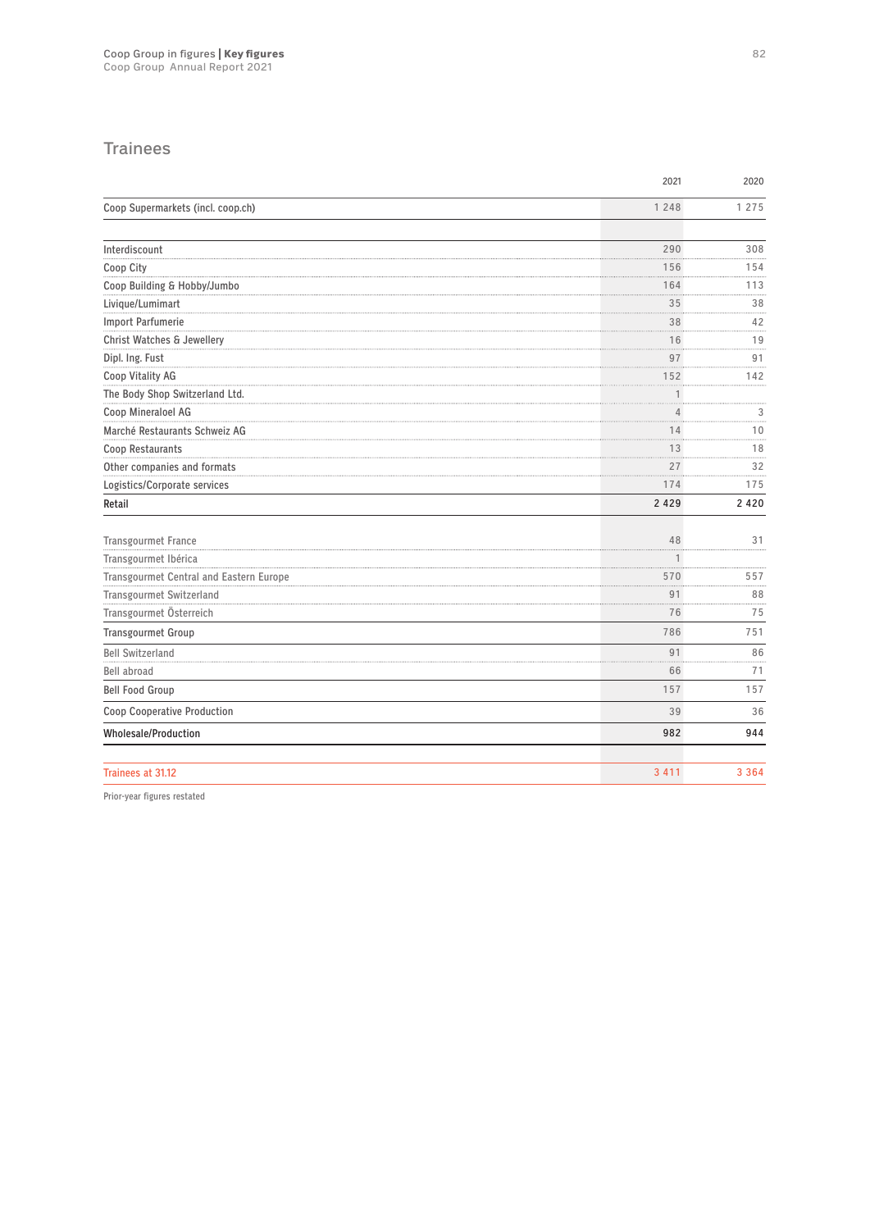#### **Trainees**

|                                         | 2021    | 2020    |
|-----------------------------------------|---------|---------|
| Coop Supermarkets (incl. coop.ch)       | 1 2 4 8 | 1 2 7 5 |
| Interdiscount                           | 290     | 308     |
| Coop City                               | 156     | 154     |
| Coop Building & Hobby/Jumbo             | 164     | 113     |
| Livique/Lumimart                        | 35      | 38      |
| <b>Import Parfumerie</b>                | 38      | 42      |
| Christ Watches & Jewellery              | 16      | 19      |
| Dipl. Ing. Fust                         | 97      | 91      |
| Coop Vitality AG                        | 152     | 142     |
| The Body Shop Switzerland Ltd.          | 1       |         |
| Coop Mineraloel AG                      | 4       | 3       |
| Marché Restaurants Schweiz AG           | 14      | 10      |
| Coop Restaurants                        | 13      | 18<br>. |
| Other companies and formats             | 27      | 32      |
| Logistics/Corporate services            | 174     | 175     |
| Retail                                  | 2 4 2 9 | 2 4 2 0 |
| <b>Transgourmet France</b>              | 48      | 31      |
| Transgourmet Ibérica                    |         |         |
| Transgourmet Central and Eastern Europe | 570     | 557     |
| Transgourmet Switzerland                | 91      | 88      |
| Transgourmet Österreich                 | 76      | 75      |
| <b>Transgourmet Group</b>               | 786     | 751     |
| <b>Bell Switzerland</b>                 | 91      | 86      |
| Bell abroad                             | 66      | 71      |
| <b>Bell Food Group</b>                  | 157     | 157     |
| Coop Cooperative Production             | 39      | 36      |
| <b>Wholesale/Production</b>             | 982     | 944     |
| Trainees at 31.12                       | 3 4 1 1 | 3 3 6 4 |

Prior-year figures restated